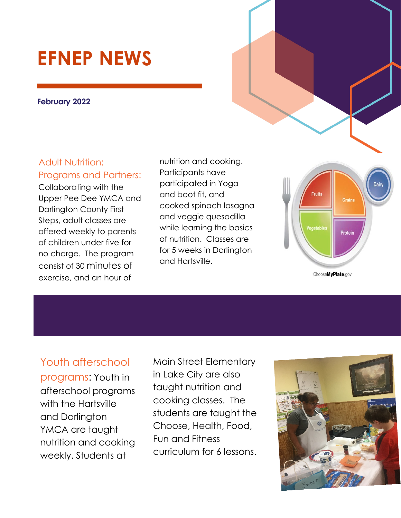# **EFNEP NEWS**

#### **February 2022**

### Adult Nutrition: Programs and Partners:

Collaborating with the Upper Pee Dee YMCA and Darlington County First Steps, adult classes are offered weekly to parents of children under five for no charge. The program consist of 30 minutes of exercise, and an hour of

nutrition and cooking. Participants have participated in Yoga and boot fit, and cooked spinach lasagna and veggie quesadilla while learning the basics of nutrition. Classes are for 5 weeks in Darlington and Hartsville.



Youth afterschool programs: Youth in afterschool programs with the Hartsville and Darlington YMCA are taught nutrition and cooking weekly. Students at

Main Street Elementary in Lake City are also taught nutrition and cooking classes. The students are taught the Choose, Health, Food, Fun and Fitness curriculum for 6 lessons.